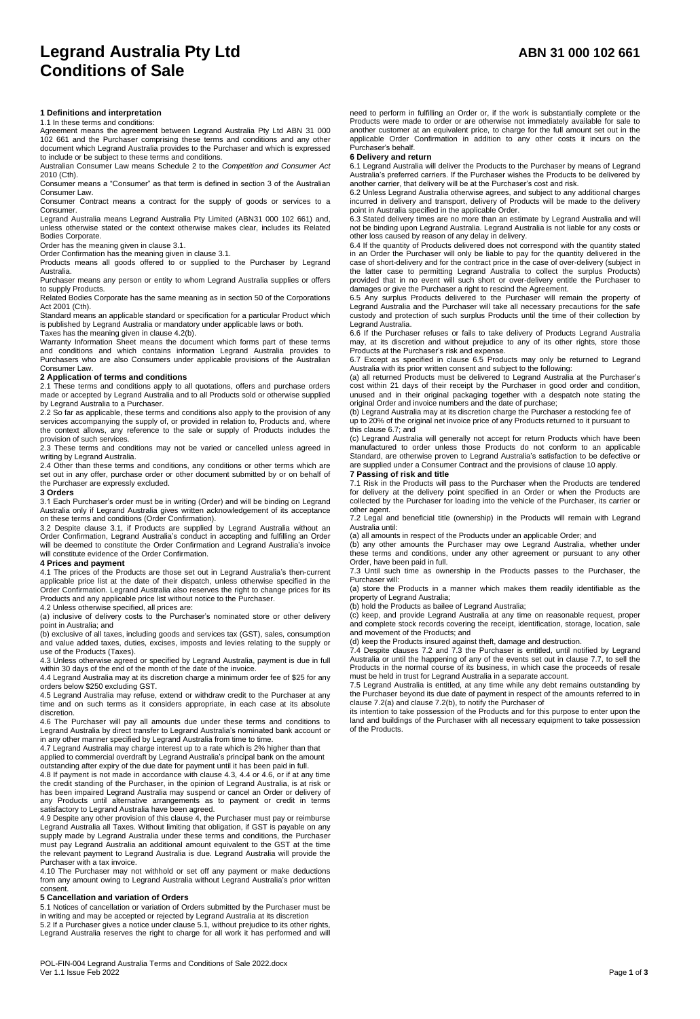# **Legrand Australia Pty Ltd ABN 31 000 102 661 Conditions of Sale**

# **1 Definitions and interpretation**

# 1.1 In these terms and conditions:

Agreement means the agreement between Legrand Australia Pty Ltd ABN 31 000 102 661 and the Purchaser comprising these terms and conditions and any other document which Legrand Australia provides to the Purchaser and which is expressed to include or be subject to these terms and conditions.

Australian Consumer Law means Schedule 2 to the *Competition and Consumer Act* 2010 (Cth). Consumer means a "Consumer" as that term is defined in section 3 of the Australian

Consumer Law. Consumer Contract means a contract for the supply of goods or services to a

**Consumer** Legrand Australia means Legrand Australia Pty Limited (ABN31 000 102 661) and,

unless otherwise stated or the context otherwise makes clear, includes its Related Bodies Corporate.

Order has the meaning given in clause 3.1.

Order Confirmation has the meaning given in clause 3.1. Products means all goods offered to or supplied to the Purchaser by Legrand Australia.

Purchaser means any person or entity to whom Legrand Australia supplies or offers to supply Products.

Related Bodies Corporate has the same meaning as in section 50 of the Corporations Act 2001 (Cth).

Standard means an applicable standard or specification for a particular Product which is published by Legrand Australia or mandatory under applicable laws or both. Taxes has the meaning given in clause 4.2(b).

Warranty Information Sheet means the document which forms part of these terms and conditions and which contains information Legrand Australia provides to Purchasers who are also Consumers under applicable provisions of the Australian Consumer Law.

## **2 Application of terms and conditions**

2.1 These terms and conditions apply to all quotations, offers and purchase orders made or accepted by Legrand Australia and to all Products sold or otherwise supplied

by Legrand Australia to a Purchaser. 2.2 So far as applicable, these terms and conditions also apply to the provision of any services accompanying the supply of, or provided in relation to, Products and, where the context allows, any reference to the sale or supply of Products includes the

provision of such services. 2.3 These terms and conditions may not be varied or cancelled unless agreed in writing by Legrand Australia.

2.4 Other than these terms and conditions, any conditions or other terms which are set out in any offer, purchase order or other document submitted by or on behalf of the Purchaser are expressly excluded.

## **3 Orders**

3.1 Each Purchaser's order must be in writing (Order) and will be binding on Legrand Australia only if Legrand Australia gives written acknowledgement of its acceptance

on these terms and conditions (Order Confirmation). 3.2 Despite clause 3.1, if Products are supplied by Legrand Australia without an Order Confirmation, Legrand Australia's conduct in accepting and fulfilling an Order will be deemed to constitute the Order Confirmation and Legrand Australia's invoice will constitute evidence of the Order Confirmation.

# **4 Prices and payment**

4.1 The prices of the Products are those set out in Legrand Australia's then-current applicable price list at the date of their dispatch, unless otherwise specified in the Order Confirmation. Legrand Australia also reserves the right to change prices for its Products and any applicable price list without notice to the Purchaser.

4.2 Unless otherwise specified, all prices are:

(a) inclusive of delivery costs to the Purchaser's nominated store or other delivery point in Australia; and

(b) exclusive of all taxes, including goods and services tax (GST), sales, consumption and value added taxes, duties, excises, imposts and levies relating to the supply or use of the Products (Taxes).

4.3 Unless otherwise agreed or specified by Legrand Australia, payment is due in full within 30 days of the end of the month of the date of the invoice.

4.4 Legrand Australia may at its discretion charge a minimum order fee of \$25 for any orders below \$250 excluding GST.

4.5 Legrand Australia may refuse, extend or withdraw credit to the Purchaser at any time and on such terms as it considers appropriate, in each case at its absolute discretion.

4.6 The Purchaser will pay all amounts due under these terms and conditions to Legrand Australia by direct transfer to Legrand Australia's nominated bank account or in any other manner specified by Legrand Australia from time to time.

4.7 Legrand Australia may charge interest up to a rate which is 2% higher than that applied to commercial overdraft by Legrand Australia's principal bank on the amount

outstanding after expiry of the due date for payment until it has been paid in full. 4.8 If payment is not made in accordance with clause 4.3, 4.4 or 4.6, or if at any time the credit standing of the Purchaser, in the opinion of Legrand Australia, is at risk or has been impaired Legrand Australia may suspend or cancel an Order or delivery of any Products until alternative arrangements as to payment or credit in terms

satisfactory to Legrand Australia have been agreed. 4.9 Despite any other provision of this clause 4, the Purchaser must pay or reimburse Legrand Australia all Taxes. Without limiting that obligation, if GST is payable on any supply made by Legrand Australia under these terms and conditions, the Purchaser must pay Legrand Australia an additional amount equivalent to the GST at the time the relevant payment to Legrand Australia is due. Legrand Australia will provide the Purchaser with a tax invoice

4.10 The Purchaser may not withhold or set off any payment or make deductions from any amount owing to Legrand Australia without Legrand Australia's prior written consent.

# **5 Cancellation and variation of Orders**

5.1 Notices of cancellation or variation of Orders submitted by the Purchaser must be in writing and may be accepted or rejected by Legrand Australia at its discretion 5.2 If a Purchaser gives a notice under clause 5.1, without prejudice to its other rights, Legrand Australia reserves the right to charge for all work it has performed and will

POL-FIN-004 Legrand Australia Terms and Conditions of Sale 2022.docx Ver 1.1 Issue Feb 2022 Page **1** of **3**

need to perform in fulfilling an Order or, if the work is substantially complete or the Products were made to order or are otherwise not immediately available for sale to another customer at an equivalent price, to charge for the full amount set out in the applicable Order Confirmation in addition to any other costs it incurs on the Purchaser's behalf.

## **6 Delivery and return**

6.1 Legrand Australia will deliver the Products to the Purchaser by means of Legrand Australia's preferred carriers. If the Purchaser wishes the Products to be delivered by another carrier, that delivery will be at the Purchaser's cost and risk.

6.2 Unless Legrand Australia otherwise agrees, and subject to any additional charges incurred in delivery and transport, delivery of Products will be made to the delivery point in Australia specified in the applicable Order. 6.3 Stated delivery times are no more than an estimate by Legrand Australia and will

not be binding upon Legrand Australia. Legrand Australia is not liable for any costs or other loss caused by reason of any delay in delivery. 6.4 If the quantity of Products delivered does not correspond with the quantity stated

in an Order the Purchaser will only be liable to pay for the quantity delivered in the case of short-delivery and for the contract price in the case of over-delivery (subject in the latter case to permitting Legrand Australia to collect the surplus Products) provided that in no event will such short or over-delivery entitle the Purchaser to damages or give the Purchaser a right to rescind the Agreement.

6.5 Any surplus Products delivered to the Purchaser will remain the property of Legrand Australia and the Purchaser will take all necessary precautions for the safe custody and protection of such surplus Products until the time of their collection by Legrand Australia.

6.6 If the Purchaser refuses or fails to take delivery of Products Legrand Australia may, at its discretion and without prejudice to any of its other rights, store those Products at the Purchaser's risk and expense.

6.7 Except as specified in clause 6.5 Products may only be returned to Legrand Australia with its prior written consent and subject to the following:

(a) all returned Products must be delivered to Legrand Australia at the Purchaser's cost within 21 days of their receipt by the Purchaser in good order and condition, unused and in their original packaging together with a despatch note stating the original Order and invoice numbers and the date of purchase;

(b) Legrand Australia may at its discretion charge the Purchaser a restocking fee of up to 20% of the original net invoice price of any Products returned to it pursuant to this clause 6.7; and

(c) Legrand Australia will generally not accept for return Products which have been manufactured to order unless those Products do not conform to an applicable Standard, are otherwise proven to Legrand Australia's satisfaction to be defective or are supplied under a Consumer Contract and the provisions of clause 10 apply.

## **7 Passing of risk and title**

7.1 Risk in the Products will pass to the Purchaser when the Products are tendered for delivery at the delivery point specified in an Order or when the Products are collected by the Purchaser for loading into the vehicle of the Purchaser, its carrier or other agent.

7.2 Legal and beneficial title (ownership) in the Products will remain with Legrand Australia until:

(a) all amounts in respect of the Products under an applicable Order; and

(b) any other amounts the Purchaser may owe Legrand Australia, whether under these terms and conditions, under any other agreement or pursuant to any other Order, have been paid in full.

7.3 Until such time as ownership in the Products passes to the Purchaser, the Purchaser will:

(a) store the Products in a manner which makes them readily identifiable as the property of Legrand Australia;

(b) hold the Products as bailee of Legrand Australia;

(c) keep, and provide Legrand Australia at any time on reasonable request, proper and complete stock records covering the receipt, identification, storage, location, sale and movement of the Products; and

(d) keep the Products insured against theft, damage and destruction. 7.4 Despite clauses 7.2 and 7.3 the Purchaser is entitled, until notified by Legrand Australia or until the happening of any of the events set out in clause 7.7, to sell the Products in the normal course of its business, in which case the proceeds of resale must be held in trust for Legrand Australia in a separate account.

7.5 Legrand Australia is entitled, at any time while any debt remains outstanding by the Purchaser beyond its due date of payment in respect of the amounts referred to in

clause 7.2(a) and clause 7.2(b), to notify the Purchaser of its intention to take possession of the Products and for this purpose to enter upon the land and buildings of the Purchaser with all necessary equipment to take possession of the Products.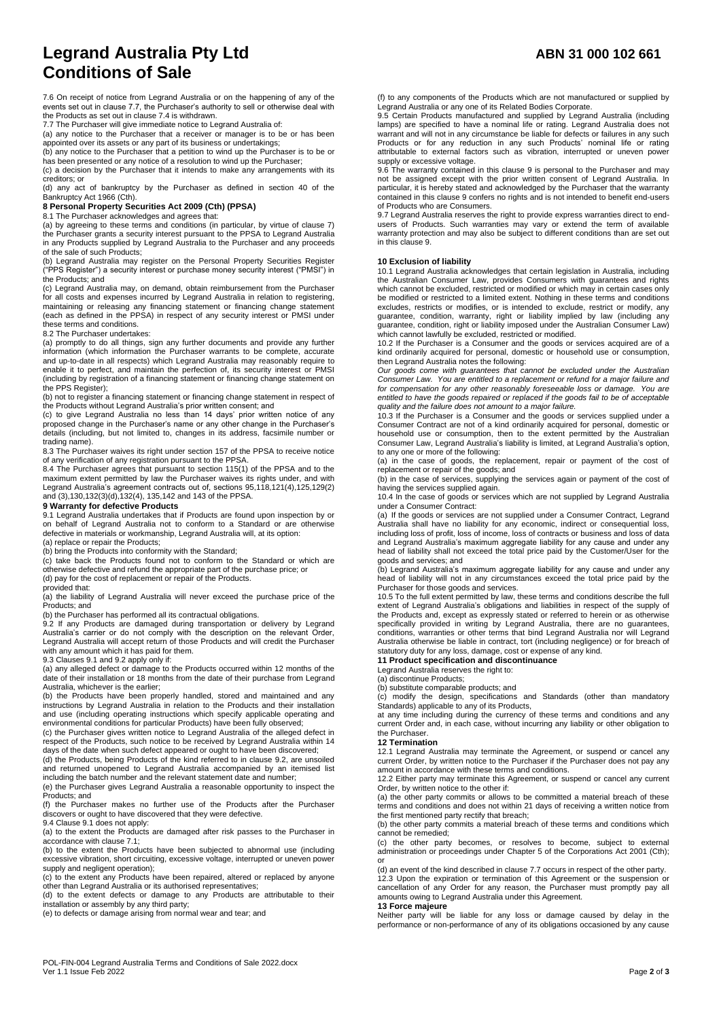# **Legrand Australia Pty Ltd ABN 31 000 102 661 Conditions of Sale**

7.6 On receipt of notice from Legrand Australia or on the happening of any of the events set out in clause 7.7, the Purchaser's authority to sell or otherwise deal with the Products as set out in clause 7.4 is withdrawn.

7.7 The Purchaser will give immediate notice to Legrand Australia of:

(a) any notice to the Purchaser that a receiver or manager is to be or has been<br>appointed over its assets or any part of its business or undertakings;<br>(b) any notice to the Purchaser that a petition to wind up the Purchase

has been presented or any notice of a resolution to wind up the Purchaser; (c) a decision by the Purchaser that it intends to make any arrangements with its

creditors; or (d) any act of bankruptcy by the Purchaser as defined in section 40 of the Bankruptcy Act 1966 (Cth).

# **8 Personal Property Securities Act 2009 (Cth) (PPSA)**

8.1 The Purchaser acknowledges and agrees that: (a) by agreeing to these terms and conditions (in particular, by virtue of clause 7) the Purchaser grants a security interest pursuant to the PPSA to Legrand Australia in any Products supplied by Legrand Australia to the Purchaser and any proceeds of the sale of such Products;

(b) Legrand Australia may register on the Personal Property Securities Register ("PPS Register") a security interest or purchase money security interest ("PMSI") in the Products; and

(c) Legrand Australia may, on demand, obtain reimbursement from the Purchaser for all costs and expenses incurred by Legrand Australia in relation to registering,<br>maintaining or releasing any financing statement or financing change statement<br>(each as defined in the PPSA) in respect of any security i these terms and conditions.

8.2 The Purchaser undertakes:

(a) promptly to do all things, sign any further documents and provide any further information (which information the Purchaser warrants to be complete, accurate<br>and up-to-date in all respects) which Legrand Australia may reasonably require to<br>enable it to perfect, and maintain the perfection of, its sec (including by registration of a financing statement or financing change statement on the PPS Register);

(b) not to register a financing statement or financing change statement in respect of<br>the Products without Legrand Australia's prior written consent; and<br>(c) to give Legrand Australia no less than 14 days' prior written no

proposed change in the Purchaser's name or any other change in the Purchaser's details (including, but not limited to, changes in its address, facsimile number or trading name).

8.3 The Purchaser waives its right under section 157 of the PPSA to receive notice<br>of any verification of any registration pursuant to the PPSA.<br>8.4 The Purchaser agrees that pursuant to section 115(1) of the PPSA and to t

maximum extent permitted by law the Purchaser waives its rights under, and with Legrand Australia's agreement contracts out of, sections 95,118,121(4),125,129(2) and (3),130,132(3)(d),132(4), 135,142 and 143 of the PPSA.

## **9 Warranty for defective Products**

9.1 Legrand Australia undertakes that if Products are found upon inspection by or on behalf of Legrand Australia not to conform to a Standard or are otherwise defective in materials or workmanship, Legrand Australia will, at its option:

(a) replace or repair the Products; (b) bring the Products into conformity with the Standard;

(c) take back the Products found not to conform to the Standard or which are otherwise defective and refund the appropriate part of the purchase price; or

(d) pay for the cost of replacement or repair of the Products.

provided that:

(a) the liability of Legrand Australia will never exceed the purchase price of the Products; and

(b) the Purchaser has performed all its contractual obligations.

9.2 If any Products are damaged during transportation or delivery by Legrand<br>Australia's carrier or do not comply with the description on the relevant Order,<br>Legrand Australia will accept return of those Products and will with any amount which it has paid for them. 9.3 Clauses 9.1 and 9.2 apply only if:

(a) any alleged defect or damage to the Products occurred within 12 months of the date of their installation or 18 months from the date of their purchase from Legrand Australia, whichever is the earlier;

(b) the Products have been properly handled, stored and maintained and any instructions by Legrand Australia in relation to the Products and their installation and use (including operating instructions which specify applicable operating and environmental conditions for particular Products) have been fully observed;

(c) the Purchaser gives written notice to Legrand Australia of the alleged defect in respect of the Products, such notice to be received by Legrand Australia within 14 days of the date when such defect appeared or ought to have been discovered;

(d) the Products, being Products of the kind referred to in clause 9.2, are unsoiled and returned unopened to Legrand Australia accompanied by an itemised list including the batch number and the relevant statement date and number;

(e) the Purchaser gives Legrand Australia a reasonable opportunity to inspect the Products; and

(f) the Purchaser makes no further use of the Products after the Purchaser discovers or ought to have discovered that they were defective. 9.4 Clause 9.1 does not apply:

(a) to the extent the Products are damaged after risk passes to the Purchaser in

accordance with clause 7.1; (b) to the extent the Products have been subjected to abnormal use (including excessive vibration, short circuiting, excessive voltage, interrupted or uneven power

supply and negligent operation); (c) to the extent any Products have been repaired, altered or replaced by anyone other than Legrand Australia or its authorised representatives;

(d) to the extent defects or damage to any Products are attributable to their installation or assembly by any third party;

(e) to defects or damage arising from normal wear and tear; and

(f) to any components of the Products which are not manufactured or supplied by Legrand Australia or any one of its Related Bodies Corporate. 9.5 Certain Products manufactured and supplied by Legrand Australia (including

lamps) are specified to have a nominal life or rating. Legrand Australia does not warrant and will not in any circumstance be liable for defects or failures in any such<br>Products or for any reduction in any such Products' nominal life or rating<br>attributable to external factors such as vibration, interrup

supply or excessive voltage.<br>9.6 The warranty contained in this clause 9 is personal to the Purchaser and may<br>not be assigned except with the prior written consent of Legrand Australia. In<br>particular, it is hereby stated a contained in this clause 9 confers no rights and is not intended to benefit end-users

of Products who are Consumers. 9.7 Legrand Australia reserves the right to provide express warranties direct to endusers of Products. Such warranties may vary or extend the term of available warranty protection and may also be subject to different conditions than are set out in this clause 9.

# **10 Exclusion of liability**

10.1 Legrand Australia acknowledges that certain legislation in Australia, including the Australian Consumer Law, provides Consumers with guarantees and rights which cannot be excluded, restricted or modified or which may in certain cases only be modified or restricted to a limited extent. Nothing in these terms and conditions excludes, restricts or modifies, or is intended to exclude, restrict or modify, any<br>guarantee, condition, warranty, right or liability implied by law (including any<br>guarantee, condition, right or liability imposed under th

which cannot lawfully be excluded, restricted or modified. 10.2 If the Purchaser is a Consumer and the goods or services acquired are of a kind ordinarily acquired for personal, domestic or household use or consumption, then Legrand Australia notes the following:

*Our goods come with guarantees that cannot be excluded under the Australian*  Consumer Law. You are entitled to a replacement or refund for a major failure and<br>for compensation for any other reasonably foreseeable loss or damage. You are<br>entitled to have the goods repaired or replaced if the goods f

*quality and the failure does not amount to a major failure.* 10.3 If the Purchaser is a Consumer and the goods or services supplied under a Consumer Contract are not of a kind ordinarily acquired for personal, domestic or household use or consumption, then to the extent permitted by the Australian Consumer Law, Legrand Australia's liability is limited, at Legrand Australia's option, to any one or more of the following:

(a) in the case of goods, the replacement, repair or payment of the cost of replacement or repair of the goods; and (b) in the case of services, supplying the services again or payment of the cost of

having the services supplied again. 10.4 In the case of goods or services which are not supplied by Legrand Australia under a Consumer Contract:

(a) If the goods or services are not supplied under a Consumer Contract, Legrand<br>Australia shall have no liability for any economic, indirect or consequential loss,<br>including loss of profit, loss of income, loss of contrac and Legrand Australia's maximum aggregate liability for any cause and under any head of liability shall not exceed the total price paid by the Customer/User for the goods and services; and

(b) Legrand Australia's maximum aggregate liability for any cause and under any head of liability will not in any circumstances exceed the total price paid by the Purchaser for those goods and services.

10.5 To the full extent permitted by law, these terms and conditions describe the full extent of Legrand Australia's obligations and liabilities in respect of the supply of the Products and, except as expressly stated or referred to herein or as otherwise specifically provided in writing by Legrand Australia, there are no guarantees, conditions, warranties or other terms that bind Legrand Australia nor will Legrand Australia otherwise be liable in contract, tort (including negligence) or for breach of statutory duty for any loss, damage, cost or expense of any kind.<br>**11 Product specification and discontinuance**<br>Legrand Australia reserves the right to:

(a) discontinue Products;

(b) substitute comparable products; and (c) modify the design, specifications and Standards (other than mandatory Standards) applicable to any of its Products,

at any time including during the currency of these terms and conditions and any current Order and, in each case, without incurring any liability or other obligation to the Purchaser.

### **12 Termination**

12.1 Legrand Australia may terminate the Agreement, or suspend or cancel any current Order, by written notice to the Purchaser if the Purchaser does not pay any amount in accordance with these terms and conditions.

12.2 Either party may terminate this Agreement, or suspend or cancel any current Order, by written notice to the other if:

(a) the other party commits or allows to be committed a material breach of these terms and conditions and does not within 21 days of receiving a written notice from the first mentioned party rectify that breach;

(b) the other party commits a material breach of these terms and conditions which cannot be remedied;

(c) the other party becomes, or resolves to become, subject to external administration or proceedings under Chapter 5 of the Corporations Act 2001 (Cth);

or<br>(d) an event of the kind described in clause 7.7 occurs in respect of the other party. 12.3 Upon the expiration or termination of this Agreement or the suspension or cancellation of any Order for any reason, the Purchaser must promptly pay all amounts owing to Legrand Australia under this Agreement.

# **13 Force majeure**

Neither party will be liable for any loss or damage caused by delay in the performance or non-performance of any of its obligations occasioned by any cause